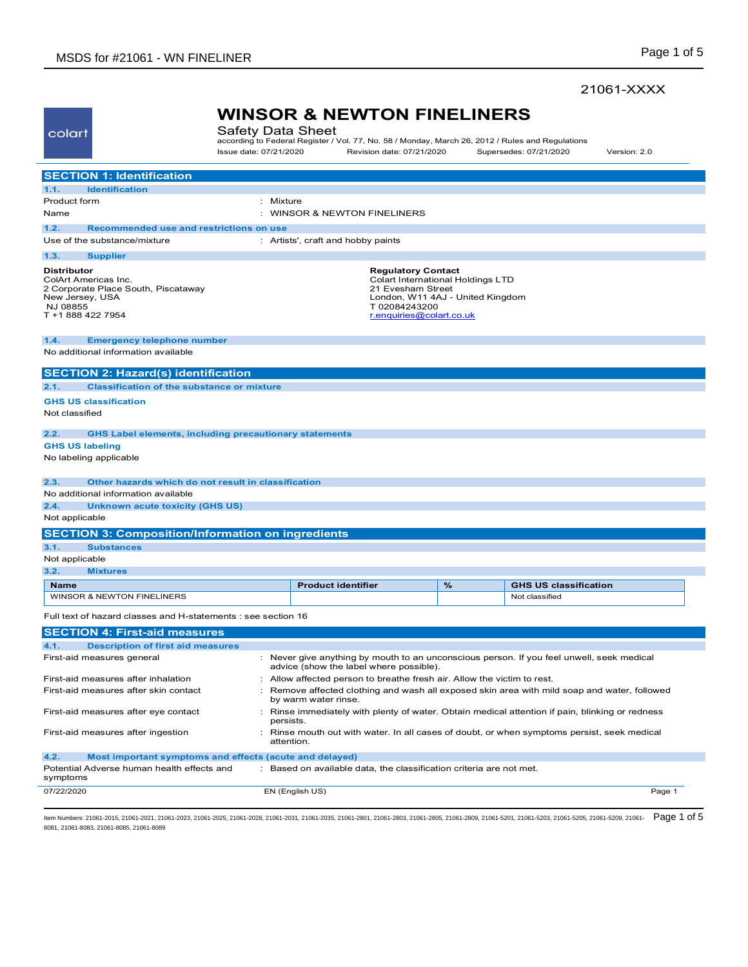## 21061-XXXX

| colart                                                                                                                                | Safety Data Sheet      | <b>WINSOR &amp; NEWTON FINELINERS</b>                                                                                                                               |                                                                                                                                                                            |                              |              |
|---------------------------------------------------------------------------------------------------------------------------------------|------------------------|---------------------------------------------------------------------------------------------------------------------------------------------------------------------|----------------------------------------------------------------------------------------------------------------------------------------------------------------------------|------------------------------|--------------|
|                                                                                                                                       | Issue date: 07/21/2020 | according to Federal Register / Vol. 77, No. 58 / Monday, March 26, 2012 / Rules and Regulations                                                                    | Revision date: 07/21/2020                                                                                                                                                  | Supersedes: 07/21/2020       | Version: 2.0 |
| <b>SECTION 1: Identification</b>                                                                                                      |                        |                                                                                                                                                                     |                                                                                                                                                                            |                              |              |
| 1.1.<br><b>Identification</b>                                                                                                         |                        |                                                                                                                                                                     |                                                                                                                                                                            |                              |              |
| Product form                                                                                                                          | Mixture<br>÷           |                                                                                                                                                                     |                                                                                                                                                                            |                              |              |
| Name                                                                                                                                  |                        | <b>WINSOR &amp; NEWTON FINELINERS</b>                                                                                                                               |                                                                                                                                                                            |                              |              |
| 1.2.<br>Recommended use and restrictions on use                                                                                       |                        |                                                                                                                                                                     |                                                                                                                                                                            |                              |              |
| Use of the substance/mixture                                                                                                          |                        | : Artists', craft and hobby paints                                                                                                                                  |                                                                                                                                                                            |                              |              |
| 1.3.<br><b>Supplier</b>                                                                                                               |                        |                                                                                                                                                                     |                                                                                                                                                                            |                              |              |
| <b>Distributor</b><br>ColArt Americas Inc.<br>2 Corporate Place South, Piscataway<br>New Jersey, USA<br>NJ 08855<br>T +1 888 422 7954 |                        |                                                                                                                                                                     | <b>Regulatory Contact</b><br><b>Colart International Holdings LTD</b><br>21 Evesham Street<br>London, W11 4AJ - United Kingdom<br>T02084243200<br>r.enquiries@colart.co.uk |                              |              |
| 1.4.<br><b>Emergency telephone number</b>                                                                                             |                        |                                                                                                                                                                     |                                                                                                                                                                            |                              |              |
| No additional information available                                                                                                   |                        |                                                                                                                                                                     |                                                                                                                                                                            |                              |              |
| <b>SECTION 2: Hazard(s) identification</b>                                                                                            |                        |                                                                                                                                                                     |                                                                                                                                                                            |                              |              |
| <b>Classification of the substance or mixture</b><br>2.1.                                                                             |                        |                                                                                                                                                                     |                                                                                                                                                                            |                              |              |
| <b>GHS US classification</b>                                                                                                          |                        |                                                                                                                                                                     |                                                                                                                                                                            |                              |              |
| Not classified                                                                                                                        |                        |                                                                                                                                                                     |                                                                                                                                                                            |                              |              |
| 2.2.<br><b>GHS Label elements, including precautionary statements</b>                                                                 |                        |                                                                                                                                                                     |                                                                                                                                                                            |                              |              |
| <b>GHS US labeling</b>                                                                                                                |                        |                                                                                                                                                                     |                                                                                                                                                                            |                              |              |
| No labeling applicable                                                                                                                |                        |                                                                                                                                                                     |                                                                                                                                                                            |                              |              |
| 2.3.<br>Other hazards which do not result in classification                                                                           |                        |                                                                                                                                                                     |                                                                                                                                                                            |                              |              |
| No additional information available                                                                                                   |                        |                                                                                                                                                                     |                                                                                                                                                                            |                              |              |
| 2.4.<br><b>Unknown acute toxicity (GHS US)</b>                                                                                        |                        |                                                                                                                                                                     |                                                                                                                                                                            |                              |              |
| Not applicable                                                                                                                        |                        |                                                                                                                                                                     |                                                                                                                                                                            |                              |              |
| <b>SECTION 3: Composition/Information on ingredients</b>                                                                              |                        |                                                                                                                                                                     |                                                                                                                                                                            |                              |              |
| 3.1.<br><b>Substances</b>                                                                                                             |                        |                                                                                                                                                                     |                                                                                                                                                                            |                              |              |
| Not applicable                                                                                                                        |                        |                                                                                                                                                                     |                                                                                                                                                                            |                              |              |
| 3.2.<br><b>Mixtures</b>                                                                                                               |                        |                                                                                                                                                                     |                                                                                                                                                                            |                              |              |
| <b>Name</b>                                                                                                                           |                        | <b>Product identifier</b>                                                                                                                                           | %                                                                                                                                                                          | <b>GHS US classification</b> |              |
| WINSOR & NEWTON FINELINERS                                                                                                            |                        |                                                                                                                                                                     |                                                                                                                                                                            | Not classified               |              |
| Full text of hazard classes and H-statements : see section 16                                                                         |                        |                                                                                                                                                                     |                                                                                                                                                                            |                              |              |
| <b>SECTION 4: First-aid measures</b>                                                                                                  |                        |                                                                                                                                                                     |                                                                                                                                                                            |                              |              |
| 4.1.<br><b>Description of first aid measures</b>                                                                                      |                        |                                                                                                                                                                     |                                                                                                                                                                            |                              |              |
| First-aid measures general                                                                                                            |                        | Never give anything by mouth to an unconscious person. If you feel unwell, seek medical<br>advice (show the label where possible).                                  |                                                                                                                                                                            |                              |              |
| First-aid measures after inhalation                                                                                                   |                        | Allow affected person to breathe fresh air. Allow the victim to rest.<br>Remove affected clothing and wash all exposed skin area with mild soap and water, followed |                                                                                                                                                                            |                              |              |
| First-aid measures after skin contact<br>First-aid measures after eye contact                                                         |                        | by warm water rinse.<br>: Rinse immediately with plenty of water. Obtain medical attention if pain, blinking or redness                                             |                                                                                                                                                                            |                              |              |
|                                                                                                                                       | persists.              |                                                                                                                                                                     |                                                                                                                                                                            |                              |              |
| First-aid measures after ingestion                                                                                                    |                        | : Rinse mouth out with water. In all cases of doubt, or when symptoms persist, seek medical<br>attention.                                                           |                                                                                                                                                                            |                              |              |
| 4.2.<br>Most important symptoms and effects (acute and delayed)                                                                       |                        |                                                                                                                                                                     |                                                                                                                                                                            |                              |              |
| Potential Adverse human health effects and<br>symptoms                                                                                |                        | : Based on available data, the classification criteria are not met.                                                                                                 |                                                                                                                                                                            |                              |              |
| 07/22/2020                                                                                                                            |                        | EN (English US)                                                                                                                                                     |                                                                                                                                                                            |                              | Page 1       |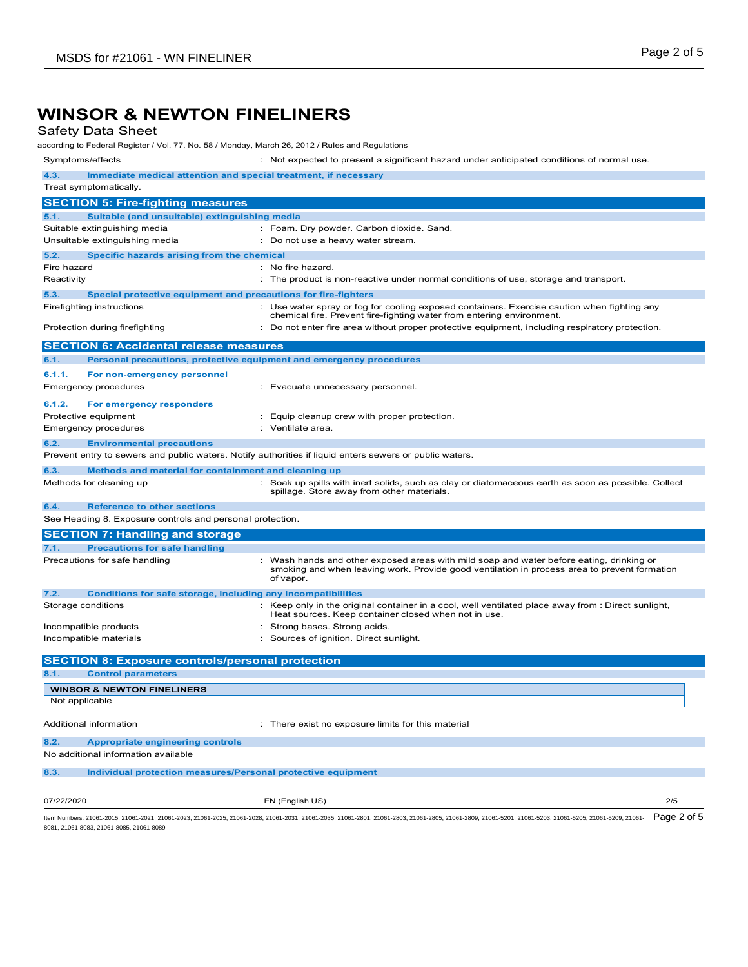## Safety Data Sheet

| according to Federal Register / Vol. 77, No. 58 / Monday, March 26, 2012 / Rules and Regulations        |                                                                                                                                                                                                       |
|---------------------------------------------------------------------------------------------------------|-------------------------------------------------------------------------------------------------------------------------------------------------------------------------------------------------------|
| Symptoms/effects                                                                                        | : Not expected to present a significant hazard under anticipated conditions of normal use.                                                                                                            |
| Immediate medical attention and special treatment, if necessary<br>4.3.                                 |                                                                                                                                                                                                       |
| Treat symptomatically.                                                                                  |                                                                                                                                                                                                       |
| <b>SECTION 5: Fire-fighting measures</b>                                                                |                                                                                                                                                                                                       |
| 5.1.<br>Suitable (and unsuitable) extinguishing media                                                   |                                                                                                                                                                                                       |
| Suitable extinguishing media                                                                            | : Foam. Dry powder. Carbon dioxide. Sand.                                                                                                                                                             |
| Unsuitable extinguishing media                                                                          | : Do not use a heavy water stream.                                                                                                                                                                    |
| 5.2.<br>Specific hazards arising from the chemical                                                      |                                                                                                                                                                                                       |
| Fire hazard<br>Reactivity                                                                               | : No fire hazard.<br>: The product is non-reactive under normal conditions of use, storage and transport.                                                                                             |
|                                                                                                         |                                                                                                                                                                                                       |
| 5.3.<br>Special protective equipment and precautions for fire-fighters<br>Firefighting instructions     | : Use water spray or fog for cooling exposed containers. Exercise caution when fighting any                                                                                                           |
|                                                                                                         | chemical fire. Prevent fire-fighting water from entering environment.                                                                                                                                 |
| Protection during firefighting                                                                          | : Do not enter fire area without proper protective equipment, including respiratory protection.                                                                                                       |
| <b>SECTION 6: Accidental release measures</b>                                                           |                                                                                                                                                                                                       |
| Personal precautions, protective equipment and emergency procedures<br>6.1.                             |                                                                                                                                                                                                       |
| 6.1.1.<br>For non-emergency personnel                                                                   |                                                                                                                                                                                                       |
| Emergency procedures                                                                                    | : Evacuate unnecessary personnel.                                                                                                                                                                     |
| 6.1.2.<br>For emergency responders                                                                      |                                                                                                                                                                                                       |
| Protective equipment                                                                                    | : Equip cleanup crew with proper protection.                                                                                                                                                          |
| Emergency procedures                                                                                    | : Ventilate area.                                                                                                                                                                                     |
| 6.2.<br><b>Environmental precautions</b>                                                                |                                                                                                                                                                                                       |
| Prevent entry to sewers and public waters. Notify authorities if liquid enters sewers or public waters. |                                                                                                                                                                                                       |
| 6.3.<br>Methods and material for containment and cleaning up                                            |                                                                                                                                                                                                       |
| Methods for cleaning up                                                                                 | : Soak up spills with inert solids, such as clay or diatomaceous earth as soon as possible. Collect<br>spillage. Store away from other materials.                                                     |
| 6.4.<br><b>Reference to other sections</b>                                                              |                                                                                                                                                                                                       |
| See Heading 8. Exposure controls and personal protection.                                               |                                                                                                                                                                                                       |
| <b>SECTION 7: Handling and storage</b>                                                                  |                                                                                                                                                                                                       |
| 7.1.<br><b>Precautions for safe handling</b>                                                            |                                                                                                                                                                                                       |
| Precautions for safe handling                                                                           | : Wash hands and other exposed areas with mild soap and water before eating, drinking or<br>smoking and when leaving work. Provide good ventilation in process area to prevent formation<br>of vapor. |
| 7.2.<br><b>Conditions for safe storage, including any incompatibilities</b>                             |                                                                                                                                                                                                       |
| Storage conditions                                                                                      | : Keep only in the original container in a cool, well ventilated place away from : Direct sunlight,<br>Heat sources. Keep container closed when not in use.                                           |
| Incompatible products                                                                                   | : Strong bases. Strong acids.                                                                                                                                                                         |
| Incompatible materials                                                                                  | : Sources of ignition. Direct sunlight.                                                                                                                                                               |
| <b>SECTION 8: Exposure controls/personal protection</b>                                                 |                                                                                                                                                                                                       |
| 8.1.<br><b>Control parameters</b>                                                                       |                                                                                                                                                                                                       |
| <b>WINSOR &amp; NEWTON FINELINERS</b>                                                                   |                                                                                                                                                                                                       |
| Not applicable                                                                                          |                                                                                                                                                                                                       |
|                                                                                                         |                                                                                                                                                                                                       |
| Additional information                                                                                  | : There exist no exposure limits for this material                                                                                                                                                    |
| 8.2.<br><b>Appropriate engineering controls</b>                                                         |                                                                                                                                                                                                       |
| No additional information available                                                                     |                                                                                                                                                                                                       |
| 8.3.<br>Individual protection measures/Personal protective equipment                                    |                                                                                                                                                                                                       |
|                                                                                                         |                                                                                                                                                                                                       |
| 07/22/2020                                                                                              | EN (English US)<br>2/5                                                                                                                                                                                |
|                                                                                                         |                                                                                                                                                                                                       |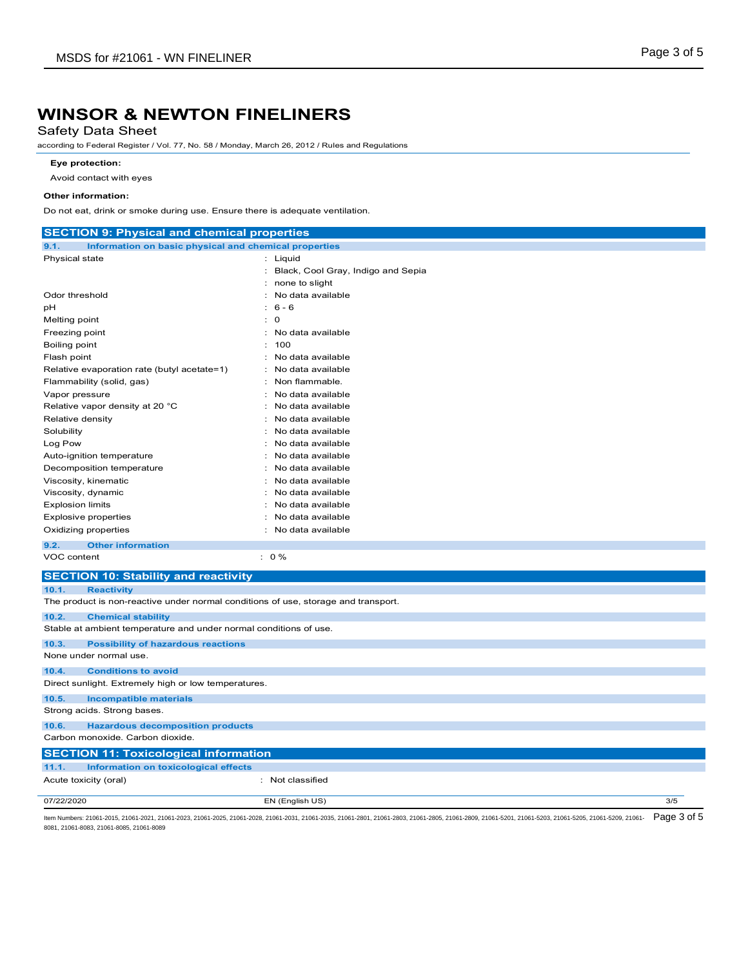## Safety Data Sheet

according to Federal Register / Vol. 77, No. 58 / Monday, March 26, 2012 / Rules and Regulations

#### **Eye protection:**

Avoid contact with eyes

#### **Other information:**

Do not eat, drink or smoke during use. Ensure there is adequate ventilation.

| Information on basic physical and chemical properties<br>9.1.<br>: Liquid<br>Physical state<br>Black, Cool Gray, Indigo and Sepia<br>÷.<br>none to slight<br>Odor threshold<br>No data available<br>$6 - 6$<br>рH<br>$\mathbf 0$<br>Melting point<br>÷.<br>Freezing point<br>No data available<br>÷<br>t.<br>100<br>Boiling point<br>No data available<br>Flash point<br>÷.<br>Relative evaporation rate (butyl acetate=1)<br>No data available<br>Non flammable.<br>Flammability (solid, gas)<br>Vapor pressure<br>No data available<br>Relative vapor density at 20 °C<br>No data available<br>÷<br>Relative density<br>No data available<br>÷<br>Solubility<br>No data available<br>÷.<br>Log Pow<br>No data available<br>٠<br>No data available<br>Auto-ignition temperature<br>÷<br>No data available<br>Decomposition temperature<br>Viscosity, kinematic<br>No data available<br>Viscosity, dynamic<br>No data available<br><b>Explosion limits</b><br>No data available<br><b>Explosive properties</b><br>: No data available<br>No data available<br>Oxidizing properties<br>÷.<br><b>Other information</b><br>9.2.<br>$: 0 \%$<br>VOC content<br><b>SECTION 10: Stability and reactivity</b><br><b>Reactivity</b><br>10.1.<br>The product is non-reactive under normal conditions of use, storage and transport.<br>10.2.<br><b>Chemical stability</b><br>Stable at ambient temperature and under normal conditions of use.<br><b>Possibility of hazardous reactions</b><br>10.3.<br>None under normal use.<br><b>Conditions to avoid</b><br>10.4.<br>Direct sunlight. Extremely high or low temperatures.<br>10.5.<br><b>Incompatible materials</b><br>Strong acids. Strong bases.<br>10.6.<br><b>Hazardous decomposition products</b><br>Carbon monoxide. Carbon dioxide.<br><b>SECTION 11: Toxicological information</b><br>Information on toxicological effects<br>11.1.<br>Acute toxicity (oral)<br>: Not classified<br>07/22/2020<br>3/5<br>EN (English US) | <b>SECTION 9: Physical and chemical properties</b> |  |
|-----------------------------------------------------------------------------------------------------------------------------------------------------------------------------------------------------------------------------------------------------------------------------------------------------------------------------------------------------------------------------------------------------------------------------------------------------------------------------------------------------------------------------------------------------------------------------------------------------------------------------------------------------------------------------------------------------------------------------------------------------------------------------------------------------------------------------------------------------------------------------------------------------------------------------------------------------------------------------------------------------------------------------------------------------------------------------------------------------------------------------------------------------------------------------------------------------------------------------------------------------------------------------------------------------------------------------------------------------------------------------------------------------------------------------------------------------------------------------------------------------------------------------------------------------------------------------------------------------------------------------------------------------------------------------------------------------------------------------------------------------------------------------------------------------------------------------------------------------------------------------------------------------------------------------------------------------------------------------|----------------------------------------------------|--|
|                                                                                                                                                                                                                                                                                                                                                                                                                                                                                                                                                                                                                                                                                                                                                                                                                                                                                                                                                                                                                                                                                                                                                                                                                                                                                                                                                                                                                                                                                                                                                                                                                                                                                                                                                                                                                                                                                                                                                                             |                                                    |  |
|                                                                                                                                                                                                                                                                                                                                                                                                                                                                                                                                                                                                                                                                                                                                                                                                                                                                                                                                                                                                                                                                                                                                                                                                                                                                                                                                                                                                                                                                                                                                                                                                                                                                                                                                                                                                                                                                                                                                                                             |                                                    |  |
|                                                                                                                                                                                                                                                                                                                                                                                                                                                                                                                                                                                                                                                                                                                                                                                                                                                                                                                                                                                                                                                                                                                                                                                                                                                                                                                                                                                                                                                                                                                                                                                                                                                                                                                                                                                                                                                                                                                                                                             |                                                    |  |
|                                                                                                                                                                                                                                                                                                                                                                                                                                                                                                                                                                                                                                                                                                                                                                                                                                                                                                                                                                                                                                                                                                                                                                                                                                                                                                                                                                                                                                                                                                                                                                                                                                                                                                                                                                                                                                                                                                                                                                             |                                                    |  |
|                                                                                                                                                                                                                                                                                                                                                                                                                                                                                                                                                                                                                                                                                                                                                                                                                                                                                                                                                                                                                                                                                                                                                                                                                                                                                                                                                                                                                                                                                                                                                                                                                                                                                                                                                                                                                                                                                                                                                                             |                                                    |  |
|                                                                                                                                                                                                                                                                                                                                                                                                                                                                                                                                                                                                                                                                                                                                                                                                                                                                                                                                                                                                                                                                                                                                                                                                                                                                                                                                                                                                                                                                                                                                                                                                                                                                                                                                                                                                                                                                                                                                                                             |                                                    |  |
|                                                                                                                                                                                                                                                                                                                                                                                                                                                                                                                                                                                                                                                                                                                                                                                                                                                                                                                                                                                                                                                                                                                                                                                                                                                                                                                                                                                                                                                                                                                                                                                                                                                                                                                                                                                                                                                                                                                                                                             |                                                    |  |
|                                                                                                                                                                                                                                                                                                                                                                                                                                                                                                                                                                                                                                                                                                                                                                                                                                                                                                                                                                                                                                                                                                                                                                                                                                                                                                                                                                                                                                                                                                                                                                                                                                                                                                                                                                                                                                                                                                                                                                             |                                                    |  |
|                                                                                                                                                                                                                                                                                                                                                                                                                                                                                                                                                                                                                                                                                                                                                                                                                                                                                                                                                                                                                                                                                                                                                                                                                                                                                                                                                                                                                                                                                                                                                                                                                                                                                                                                                                                                                                                                                                                                                                             |                                                    |  |
|                                                                                                                                                                                                                                                                                                                                                                                                                                                                                                                                                                                                                                                                                                                                                                                                                                                                                                                                                                                                                                                                                                                                                                                                                                                                                                                                                                                                                                                                                                                                                                                                                                                                                                                                                                                                                                                                                                                                                                             |                                                    |  |
|                                                                                                                                                                                                                                                                                                                                                                                                                                                                                                                                                                                                                                                                                                                                                                                                                                                                                                                                                                                                                                                                                                                                                                                                                                                                                                                                                                                                                                                                                                                                                                                                                                                                                                                                                                                                                                                                                                                                                                             |                                                    |  |
|                                                                                                                                                                                                                                                                                                                                                                                                                                                                                                                                                                                                                                                                                                                                                                                                                                                                                                                                                                                                                                                                                                                                                                                                                                                                                                                                                                                                                                                                                                                                                                                                                                                                                                                                                                                                                                                                                                                                                                             |                                                    |  |
|                                                                                                                                                                                                                                                                                                                                                                                                                                                                                                                                                                                                                                                                                                                                                                                                                                                                                                                                                                                                                                                                                                                                                                                                                                                                                                                                                                                                                                                                                                                                                                                                                                                                                                                                                                                                                                                                                                                                                                             |                                                    |  |
|                                                                                                                                                                                                                                                                                                                                                                                                                                                                                                                                                                                                                                                                                                                                                                                                                                                                                                                                                                                                                                                                                                                                                                                                                                                                                                                                                                                                                                                                                                                                                                                                                                                                                                                                                                                                                                                                                                                                                                             |                                                    |  |
|                                                                                                                                                                                                                                                                                                                                                                                                                                                                                                                                                                                                                                                                                                                                                                                                                                                                                                                                                                                                                                                                                                                                                                                                                                                                                                                                                                                                                                                                                                                                                                                                                                                                                                                                                                                                                                                                                                                                                                             |                                                    |  |
|                                                                                                                                                                                                                                                                                                                                                                                                                                                                                                                                                                                                                                                                                                                                                                                                                                                                                                                                                                                                                                                                                                                                                                                                                                                                                                                                                                                                                                                                                                                                                                                                                                                                                                                                                                                                                                                                                                                                                                             |                                                    |  |
|                                                                                                                                                                                                                                                                                                                                                                                                                                                                                                                                                                                                                                                                                                                                                                                                                                                                                                                                                                                                                                                                                                                                                                                                                                                                                                                                                                                                                                                                                                                                                                                                                                                                                                                                                                                                                                                                                                                                                                             |                                                    |  |
|                                                                                                                                                                                                                                                                                                                                                                                                                                                                                                                                                                                                                                                                                                                                                                                                                                                                                                                                                                                                                                                                                                                                                                                                                                                                                                                                                                                                                                                                                                                                                                                                                                                                                                                                                                                                                                                                                                                                                                             |                                                    |  |
|                                                                                                                                                                                                                                                                                                                                                                                                                                                                                                                                                                                                                                                                                                                                                                                                                                                                                                                                                                                                                                                                                                                                                                                                                                                                                                                                                                                                                                                                                                                                                                                                                                                                                                                                                                                                                                                                                                                                                                             |                                                    |  |
|                                                                                                                                                                                                                                                                                                                                                                                                                                                                                                                                                                                                                                                                                                                                                                                                                                                                                                                                                                                                                                                                                                                                                                                                                                                                                                                                                                                                                                                                                                                                                                                                                                                                                                                                                                                                                                                                                                                                                                             |                                                    |  |
|                                                                                                                                                                                                                                                                                                                                                                                                                                                                                                                                                                                                                                                                                                                                                                                                                                                                                                                                                                                                                                                                                                                                                                                                                                                                                                                                                                                                                                                                                                                                                                                                                                                                                                                                                                                                                                                                                                                                                                             |                                                    |  |
|                                                                                                                                                                                                                                                                                                                                                                                                                                                                                                                                                                                                                                                                                                                                                                                                                                                                                                                                                                                                                                                                                                                                                                                                                                                                                                                                                                                                                                                                                                                                                                                                                                                                                                                                                                                                                                                                                                                                                                             |                                                    |  |
|                                                                                                                                                                                                                                                                                                                                                                                                                                                                                                                                                                                                                                                                                                                                                                                                                                                                                                                                                                                                                                                                                                                                                                                                                                                                                                                                                                                                                                                                                                                                                                                                                                                                                                                                                                                                                                                                                                                                                                             |                                                    |  |
|                                                                                                                                                                                                                                                                                                                                                                                                                                                                                                                                                                                                                                                                                                                                                                                                                                                                                                                                                                                                                                                                                                                                                                                                                                                                                                                                                                                                                                                                                                                                                                                                                                                                                                                                                                                                                                                                                                                                                                             |                                                    |  |
|                                                                                                                                                                                                                                                                                                                                                                                                                                                                                                                                                                                                                                                                                                                                                                                                                                                                                                                                                                                                                                                                                                                                                                                                                                                                                                                                                                                                                                                                                                                                                                                                                                                                                                                                                                                                                                                                                                                                                                             |                                                    |  |
|                                                                                                                                                                                                                                                                                                                                                                                                                                                                                                                                                                                                                                                                                                                                                                                                                                                                                                                                                                                                                                                                                                                                                                                                                                                                                                                                                                                                                                                                                                                                                                                                                                                                                                                                                                                                                                                                                                                                                                             |                                                    |  |
|                                                                                                                                                                                                                                                                                                                                                                                                                                                                                                                                                                                                                                                                                                                                                                                                                                                                                                                                                                                                                                                                                                                                                                                                                                                                                                                                                                                                                                                                                                                                                                                                                                                                                                                                                                                                                                                                                                                                                                             |                                                    |  |
|                                                                                                                                                                                                                                                                                                                                                                                                                                                                                                                                                                                                                                                                                                                                                                                                                                                                                                                                                                                                                                                                                                                                                                                                                                                                                                                                                                                                                                                                                                                                                                                                                                                                                                                                                                                                                                                                                                                                                                             |                                                    |  |
|                                                                                                                                                                                                                                                                                                                                                                                                                                                                                                                                                                                                                                                                                                                                                                                                                                                                                                                                                                                                                                                                                                                                                                                                                                                                                                                                                                                                                                                                                                                                                                                                                                                                                                                                                                                                                                                                                                                                                                             |                                                    |  |
|                                                                                                                                                                                                                                                                                                                                                                                                                                                                                                                                                                                                                                                                                                                                                                                                                                                                                                                                                                                                                                                                                                                                                                                                                                                                                                                                                                                                                                                                                                                                                                                                                                                                                                                                                                                                                                                                                                                                                                             |                                                    |  |
|                                                                                                                                                                                                                                                                                                                                                                                                                                                                                                                                                                                                                                                                                                                                                                                                                                                                                                                                                                                                                                                                                                                                                                                                                                                                                                                                                                                                                                                                                                                                                                                                                                                                                                                                                                                                                                                                                                                                                                             |                                                    |  |
|                                                                                                                                                                                                                                                                                                                                                                                                                                                                                                                                                                                                                                                                                                                                                                                                                                                                                                                                                                                                                                                                                                                                                                                                                                                                                                                                                                                                                                                                                                                                                                                                                                                                                                                                                                                                                                                                                                                                                                             |                                                    |  |
|                                                                                                                                                                                                                                                                                                                                                                                                                                                                                                                                                                                                                                                                                                                                                                                                                                                                                                                                                                                                                                                                                                                                                                                                                                                                                                                                                                                                                                                                                                                                                                                                                                                                                                                                                                                                                                                                                                                                                                             |                                                    |  |
|                                                                                                                                                                                                                                                                                                                                                                                                                                                                                                                                                                                                                                                                                                                                                                                                                                                                                                                                                                                                                                                                                                                                                                                                                                                                                                                                                                                                                                                                                                                                                                                                                                                                                                                                                                                                                                                                                                                                                                             |                                                    |  |
|                                                                                                                                                                                                                                                                                                                                                                                                                                                                                                                                                                                                                                                                                                                                                                                                                                                                                                                                                                                                                                                                                                                                                                                                                                                                                                                                                                                                                                                                                                                                                                                                                                                                                                                                                                                                                                                                                                                                                                             |                                                    |  |
|                                                                                                                                                                                                                                                                                                                                                                                                                                                                                                                                                                                                                                                                                                                                                                                                                                                                                                                                                                                                                                                                                                                                                                                                                                                                                                                                                                                                                                                                                                                                                                                                                                                                                                                                                                                                                                                                                                                                                                             |                                                    |  |
|                                                                                                                                                                                                                                                                                                                                                                                                                                                                                                                                                                                                                                                                                                                                                                                                                                                                                                                                                                                                                                                                                                                                                                                                                                                                                                                                                                                                                                                                                                                                                                                                                                                                                                                                                                                                                                                                                                                                                                             |                                                    |  |
|                                                                                                                                                                                                                                                                                                                                                                                                                                                                                                                                                                                                                                                                                                                                                                                                                                                                                                                                                                                                                                                                                                                                                                                                                                                                                                                                                                                                                                                                                                                                                                                                                                                                                                                                                                                                                                                                                                                                                                             |                                                    |  |
|                                                                                                                                                                                                                                                                                                                                                                                                                                                                                                                                                                                                                                                                                                                                                                                                                                                                                                                                                                                                                                                                                                                                                                                                                                                                                                                                                                                                                                                                                                                                                                                                                                                                                                                                                                                                                                                                                                                                                                             |                                                    |  |
|                                                                                                                                                                                                                                                                                                                                                                                                                                                                                                                                                                                                                                                                                                                                                                                                                                                                                                                                                                                                                                                                                                                                                                                                                                                                                                                                                                                                                                                                                                                                                                                                                                                                                                                                                                                                                                                                                                                                                                             |                                                    |  |
|                                                                                                                                                                                                                                                                                                                                                                                                                                                                                                                                                                                                                                                                                                                                                                                                                                                                                                                                                                                                                                                                                                                                                                                                                                                                                                                                                                                                                                                                                                                                                                                                                                                                                                                                                                                                                                                                                                                                                                             |                                                    |  |
|                                                                                                                                                                                                                                                                                                                                                                                                                                                                                                                                                                                                                                                                                                                                                                                                                                                                                                                                                                                                                                                                                                                                                                                                                                                                                                                                                                                                                                                                                                                                                                                                                                                                                                                                                                                                                                                                                                                                                                             |                                                    |  |
|                                                                                                                                                                                                                                                                                                                                                                                                                                                                                                                                                                                                                                                                                                                                                                                                                                                                                                                                                                                                                                                                                                                                                                                                                                                                                                                                                                                                                                                                                                                                                                                                                                                                                                                                                                                                                                                                                                                                                                             |                                                    |  |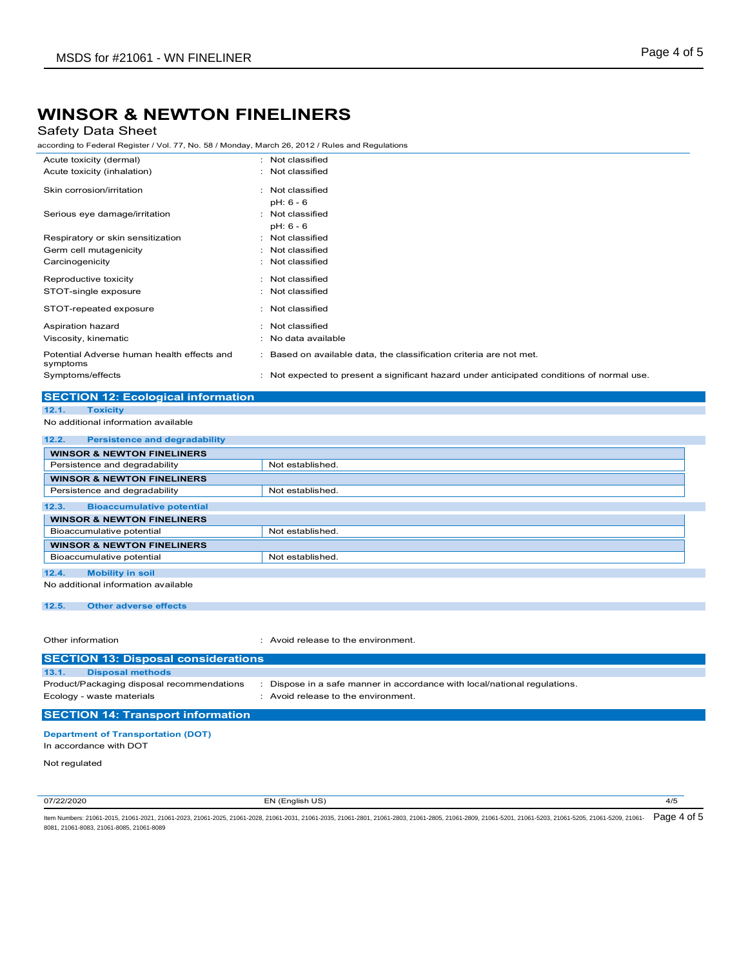## Safety Data Sheet

according to Federal Register / Vol. 77, No. 58 / Monday, March 26, 2012 / Rules and Regulations

| Acute toxicity (dermal)                                | : Not classified                                                                           |
|--------------------------------------------------------|--------------------------------------------------------------------------------------------|
| Acute toxicity (inhalation)                            | : Not classified                                                                           |
| Skin corrosion/irritation                              | : Not classified                                                                           |
|                                                        | pH: 6 - 6                                                                                  |
| Serious eye damage/irritation                          | : Not classified                                                                           |
|                                                        | pH: 6 - 6                                                                                  |
| Respiratory or skin sensitization                      | : Not classified                                                                           |
| Germ cell mutagenicity                                 | : Not classified                                                                           |
| Carcinogenicity                                        | : Not classified                                                                           |
| Reproductive toxicity                                  | : Not classified                                                                           |
| STOT-single exposure                                   | : Not classified                                                                           |
| STOT-repeated exposure                                 | : Not classified                                                                           |
| Aspiration hazard                                      | : Not classified                                                                           |
| Viscosity, kinematic                                   | : No data available                                                                        |
| Potential Adverse human health effects and<br>symptoms | : Based on available data, the classification criteria are not met.                        |
| Symptoms/effects                                       | : Not expected to present a significant hazard under anticipated conditions of normal use. |
|                                                        |                                                                                            |

### **SECTION 12: Ecological information 12.1. Toxicity**

```
No additional information available
```

| 12.2.<br><b>Persistence and degradability</b> |                  |
|-----------------------------------------------|------------------|
| <b>WINSOR &amp; NEWTON FINELINERS</b>         |                  |
| Persistence and degradability                 | Not established. |
| <b>WINSOR &amp; NEWTON FINELINERS</b>         |                  |
| Persistence and degradability                 | Not established. |
| 12.3.<br><b>Bioaccumulative potential</b>     |                  |
| <b>WINSOR &amp; NEWTON FINELINERS</b>         |                  |
| Bioaccumulative potential                     | Not established. |
| <b>WINSOR &amp; NEWTON FINELINERS</b>         |                  |
| Bioaccumulative potential                     | Not established. |
| 12.4.<br><b>Mobility in soil</b>              |                  |
| No additional information available           |                  |

#### **12.5. Other adverse effects**

Other information **in the environment.** The environment of the environment.

| <b>SECTION 13: Disposal considerations</b>                              |                                                                                                              |
|-------------------------------------------------------------------------|--------------------------------------------------------------------------------------------------------------|
| 13.1.<br><b>Disposal methods</b>                                        |                                                                                                              |
| Product/Packaging disposal recommendations<br>Ecology - waste materials | Dispose in a safe manner in accordance with local/national regulations.<br>Avoid release to the environment. |
| <b>SECTION 14: Transport information</b>                                |                                                                                                              |

#### **Department of Transportation (DOT)**

In accordance with DOT

Not regulated

07/22/2020 EN (English US) 4/5